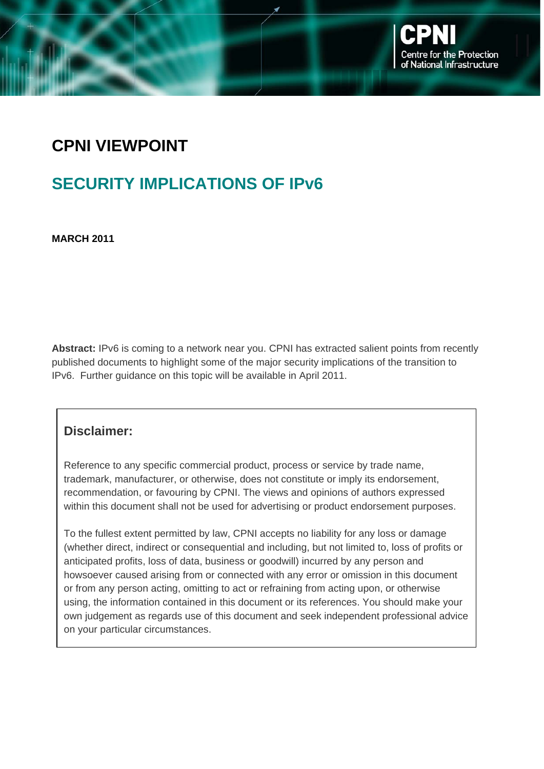### **CPNI VIEWPOINT**

### **SECURITY IMPLICATIONS OF IPv6**

**MARCH 2011** 

**Abstract:** IPv6 is coming to a network near you. CPNI has extracted salient points from recently published documents to highlight some of the major security implications of the transition to IPv6. Further guidance on this topic will be available in April 2011.

#### **Disclaimer:**

Reference to any specific commercial product, process or service by trade name, trademark, manufacturer, or otherwise, does not constitute or imply its endorsement, recommendation, or favouring by CPNI. The views and opinions of authors expressed within this document shall not be used for advertising or product endorsement purposes.

To the fullest extent permitted by law, CPNI accepts no liability for any loss or damage (whether direct, indirect or consequential and including, but not limited to, loss of profits or anticipated profits, loss of data, business or goodwill) incurred by any person and howsoever caused arising from or connected with any error or omission in this document or from any person acting, omitting to act or refraining from acting upon, or otherwise using, the information contained in this document or its references. You should make your own judgement as regards use of this document and seek independent professional advice on your particular circumstances.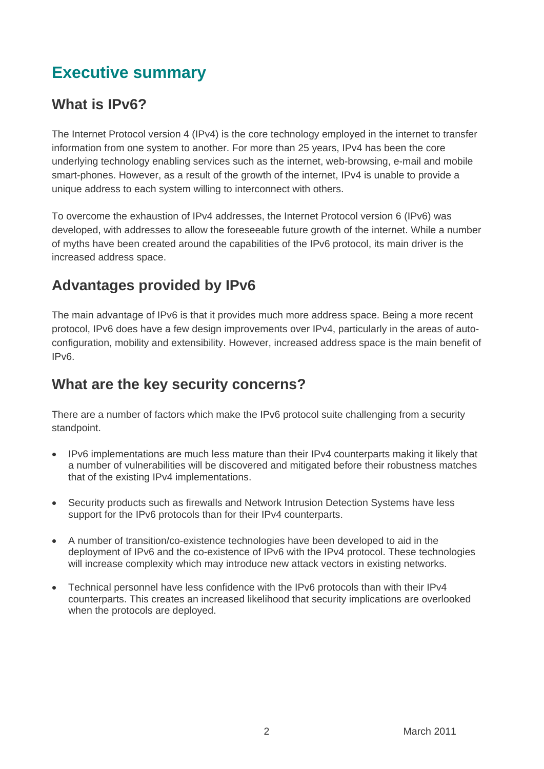## **Executive summary**

#### **What is IPv6?**

The Internet Protocol version 4 (IPv4) is the core technology employed in the internet to transfer information from one system to another. For more than 25 years, IPv4 has been the core underlying technology enabling services such as the internet, web-browsing, e-mail and mobile smart-phones. However, as a result of the growth of the internet, IPv4 is unable to provide a unique address to each system willing to interconnect with others.

To overcome the exhaustion of IPv4 addresses, the Internet Protocol version 6 (IPv6) was developed, with addresses to allow the foreseeable future growth of the internet. While a number of myths have been created around the capabilities of the IPv6 protocol, its main driver is the increased address space.

### **Advantages provided by IPv6**

The main advantage of IPv6 is that it provides much more address space. Being a more recent protocol, IPv6 does have a few design improvements over IPv4, particularly in the areas of autoconfiguration, mobility and extensibility. However, increased address space is the main benefit of IPv6.

#### **What are the key security concerns?**

There are a number of factors which make the IPv6 protocol suite challenging from a security standpoint.

- IPv6 implementations are much less mature than their IPv4 counterparts making it likely that a number of vulnerabilities will be discovered and mitigated before their robustness matches that of the existing IPv4 implementations.
- Security products such as firewalls and Network Intrusion Detection Systems have less support for the IPv6 protocols than for their IPv4 counterparts.
- A number of transition/co-existence technologies have been developed to aid in the deployment of IPv6 and the co-existence of IPv6 with the IPv4 protocol. These technologies will increase complexity which may introduce new attack vectors in existing networks.
- Technical personnel have less confidence with the IPv6 protocols than with their IPv4 counterparts. This creates an increased likelihood that security implications are overlooked when the protocols are deployed.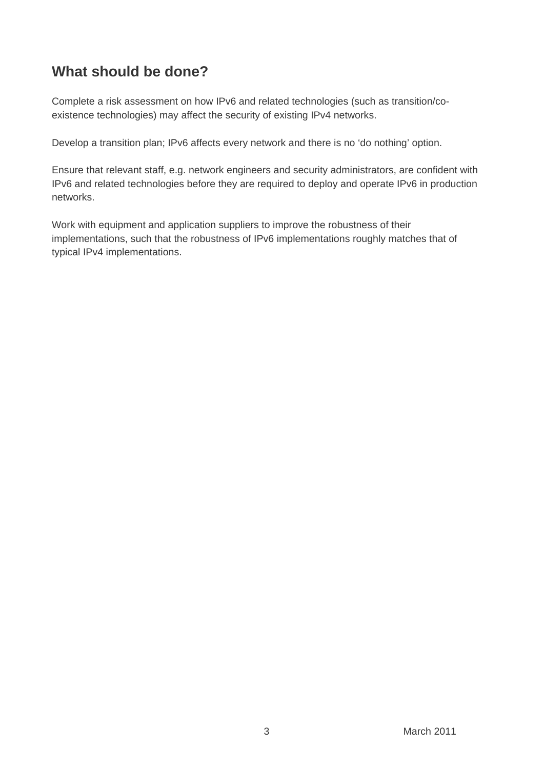#### **What should be done?**

Complete a risk assessment on how IPv6 and related technologies (such as transition/coexistence technologies) may affect the security of existing IPv4 networks.

Develop a transition plan; IPv6 affects every network and there is no 'do nothing' option.

Ensure that relevant staff, e.g. network engineers and security administrators, are confident with IPv6 and related technologies before they are required to deploy and operate IPv6 in production networks.

Work with equipment and application suppliers to improve the robustness of their implementations, such that the robustness of IPv6 implementations roughly matches that of typical IPv4 implementations.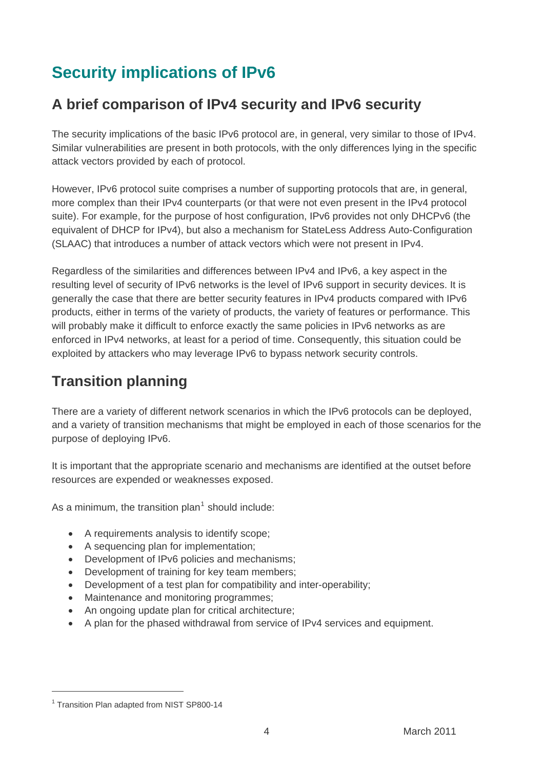# **Security implications of IPv6**

#### **A brief comparison of IPv4 security and IPv6 security**

The security implications of the basic IPv6 protocol are, in general, very similar to those of IPv4. Similar vulnerabilities are present in both protocols, with the only differences lying in the specific attack vectors provided by each of protocol.

However, IPv6 protocol suite comprises a number of supporting protocols that are, in general, more complex than their IPv4 counterparts (or that were not even present in the IPv4 protocol suite). For example, for the purpose of host configuration, IPv6 provides not only DHCPv6 (the equivalent of DHCP for IPv4), but also a mechanism for StateLess Address Auto-Configuration (SLAAC) that introduces a number of attack vectors which were not present in IPv4.

Regardless of the similarities and differences between IPv4 and IPv6, a key aspect in the resulting level of security of IPv6 networks is the level of IPv6 support in security devices. It is generally the case that there are better security features in IPv4 products compared with IPv6 products, either in terms of the variety of products, the variety of features or performance. This will probably make it difficult to enforce exactly the same policies in IPv6 networks as are enforced in IPv4 networks, at least for a period of time. Consequently, this situation could be exploited by attackers who may leverage IPv6 to bypass network security controls.

### **Transition planning**

There are a variety of different network scenarios in which the IPv6 protocols can be deployed, and a variety of transition mechanisms that might be employed in each of those scenarios for the purpose of deploying IPv6.

It is important that the appropriate scenario and mechanisms are identified at the outset before resources are expended or weaknesses exposed.

As a minimum, the transition plan<sup>[1](#page-3-0)</sup> should include:

- A requirements analysis to identify scope;
- A sequencing plan for implementation;
- Development of IPv6 policies and mechanisms;
- Development of training for key team members;
- Development of a test plan for compatibility and inter-operability;
- Maintenance and monitoring programmes;
- An ongoing update plan for critical architecture;
- A plan for the phased withdrawal from service of IPv4 services and equipment.

 $\overline{a}$ 

<span id="page-3-0"></span><sup>&</sup>lt;sup>1</sup> Transition Plan adapted from NIST SP800-14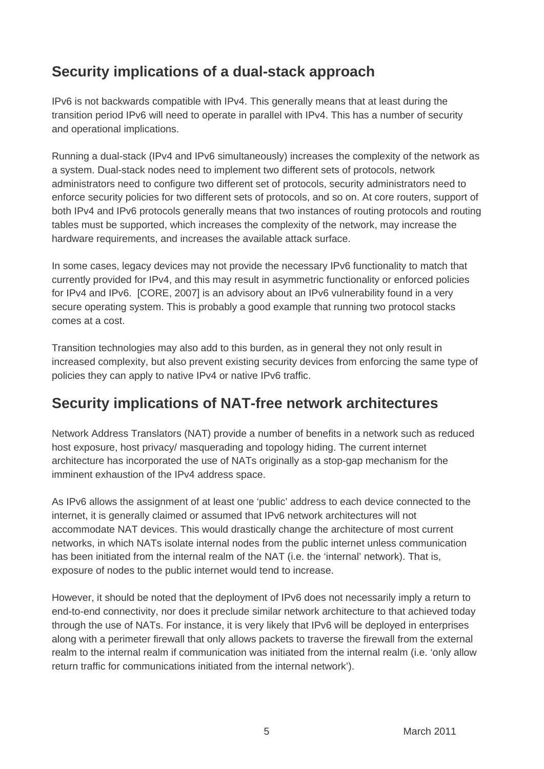### **Security implications of a dual-stack approach**

IPv6 is not backwards compatible with IPv4. This generally means that at least during the transition period IPv6 will need to operate in parallel with IPv4. This has a number of security and operational implications.

Running a dual-stack (IPv4 and IPv6 simultaneously) increases the complexity of the network as a system. Dual-stack nodes need to implement two different sets of protocols, network administrators need to configure two different set of protocols, security administrators need to enforce security policies for two different sets of protocols, and so on. At core routers, support of both IPv4 and IPv6 protocols generally means that two instances of routing protocols and routing tables must be supported, which increases the complexity of the network, may increase the hardware requirements, and increases the available attack surface.

In some cases, legacy devices may not provide the necessary IPv6 functionality to match that currently provided for IPv4, and this may result in asymmetric functionality or enforced policies for IPv4 and IPv6. [CORE, 2007] is an advisory about an IPv6 vulnerability found in a very secure operating system. This is probably a good example that running two protocol stacks comes at a cost.

Transition technologies may also add to this burden, as in general they not only result in increased complexity, but also prevent existing security devices from enforcing the same type of policies they can apply to native IPv4 or native IPv6 traffic.

#### **Security implications of NAT-free network architectures**

Network Address Translators (NAT) provide a number of benefits in a network such as reduced host exposure, host privacy/ masquerading and topology hiding. The current internet architecture has incorporated the use of NATs originally as a stop-gap mechanism for the imminent exhaustion of the IPv4 address space.

As IPv6 allows the assignment of at least one 'public' address to each device connected to the internet, it is generally claimed or assumed that IPv6 network architectures will not accommodate NAT devices. This would drastically change the architecture of most current networks, in which NATs isolate internal nodes from the public internet unless communication has been initiated from the internal realm of the NAT (i.e. the 'internal' network). That is, exposure of nodes to the public internet would tend to increase.

However, it should be noted that the deployment of IPv6 does not necessarily imply a return to end-to-end connectivity, nor does it preclude similar network architecture to that achieved today through the use of NATs. For instance, it is very likely that IPv6 will be deployed in enterprises along with a perimeter firewall that only allows packets to traverse the firewall from the external realm to the internal realm if communication was initiated from the internal realm (i.e. 'only allow return traffic for communications initiated from the internal network').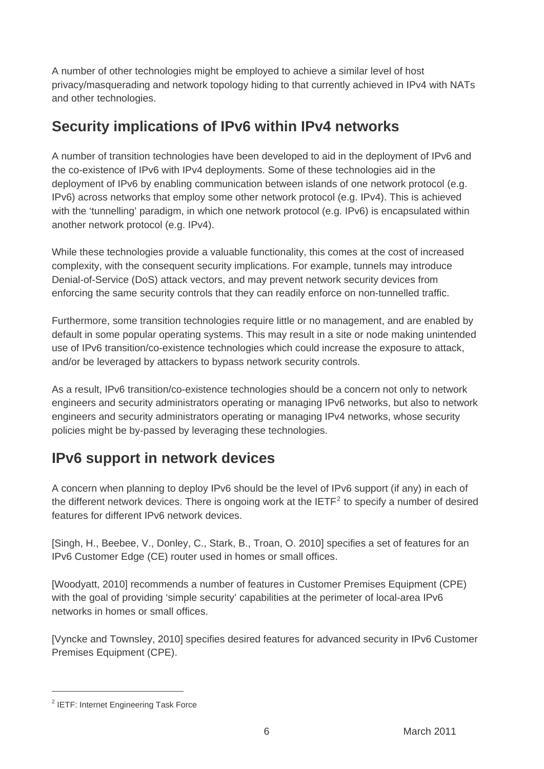A number of other technologies might be employed to achieve a similar level of host privacy/masquerading and network topology hiding to that currently achieved in IPv4 with NATs and other technologies.

#### **Security implications of IPv6 within IPv4 networks**

A number of transition technologies have been developed to aid in the deployment of IPv6 and the co-existence of IPv6 with IPv4 deployments. Some of these technologies aid in the deployment of IPv6 by enabling communication between islands of one network protocol (e.g. IPv6) across networks that employ some other network protocol (e.g. IPv4). This is achieved with the 'tunnelling' paradigm, in which one network protocol (e.g. IPv6) is encapsulated within another network protocol (e.g. IPv4).

While these technologies provide a valuable functionality, this comes at the cost of increased complexity, with the consequent security implications. For example, tunnels may introduce Denial-of-Service (DoS) attack vectors, and may prevent network security devices from enforcing the same security controls that they can readily enforce on non-tunnelled traffic.

Furthermore, some transition technologies require little or no management, and are enabled by default in some popular operating systems. This may result in a site or node making unintended use of IPv6 transition/co-existence technologies which could increase the exposure to attack, and/or be leveraged by attackers to bypass network security controls.

As a result, IPv6 transition/co-existence technologies should be a concern not only to network engineers and security administrators operating or managing IPv6 networks, but also to network engineers and security administrators operating or managing IPv4 networks, whose security policies might be by-passed by leveraging these technologies.

### **IPv6 support in network devices**

A concern when planning to deploy IPv6 should be the level of IPv6 support (if any) in each of the different network devices. There is ongoing work at the IETF<sup>[2](#page-5-0)</sup> to specify a number of desired features for different IPv6 network devices.

[Singh, H., Beebee, V., Donley, C., Stark, B., Troan, O. 2010] specifies a set of features for an IPv6 Customer Edge (CE) router used in homes or small offices.

[Woodyatt, 2010] recommends a number of features in Customer Premises Equipment (CPE) with the goal of providing 'simple security' capabilities at the perimeter of local-area IPv6 networks in homes or small offices.

[Vyncke and Townsley, 2010] specifies desired features for advanced security in IPv6 Customer Premises Equipment (CPE).

 $\overline{a}$ 

<span id="page-5-0"></span><sup>&</sup>lt;sup>2</sup> IETF: Internet Engineering Task Force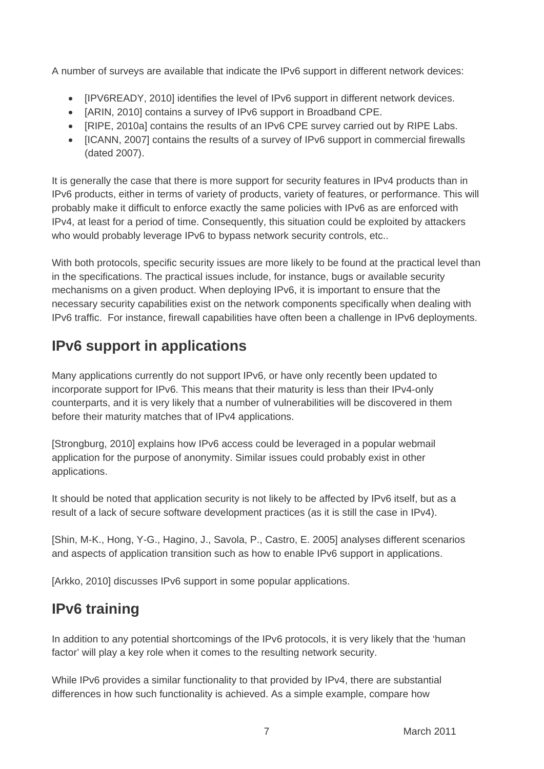A number of surveys are available that indicate the IPv6 support in different network devices:

- [IPV6READY, 2010] identifies the level of IPv6 support in different network devices.
- [ARIN, 2010] contains a survey of IPv6 support in Broadband CPE.
- [RIPE, 2010a] contains the results of an IPv6 CPE survey carried out by RIPE Labs.
- [ICANN, 2007] contains the results of a survey of IPv6 support in commercial firewalls (dated 2007).

It is generally the case that there is more support for security features in IPv4 products than in IPv6 products, either in terms of variety of products, variety of features, or performance. This will probably make it difficult to enforce exactly the same policies with IPv6 as are enforced with IPv4, at least for a period of time. Consequently, this situation could be exploited by attackers who would probably leverage IPv6 to bypass network security controls, etc..

With both protocols, specific security issues are more likely to be found at the practical level than in the specifications. The practical issues include, for instance, bugs or available security mechanisms on a given product. When deploying IPv6, it is important to ensure that the necessary security capabilities exist on the network components specifically when dealing with IPv6 traffic. For instance, firewall capabilities have often been a challenge in IPv6 deployments.

### **IPv6 support in applications**

Many applications currently do not support IPv6, or have only recently been updated to incorporate support for IPv6. This means that their maturity is less than their IPv4-only counterparts, and it is very likely that a number of vulnerabilities will be discovered in them before their maturity matches that of IPv4 applications.

[Strongburg, 2010] explains how IPv6 access could be leveraged in a popular webmail application for the purpose of anonymity. Similar issues could probably exist in other applications.

It should be noted that application security is not likely to be affected by IPv6 itself, but as a result of a lack of secure software development practices (as it is still the case in IPv4).

[Shin, M-K., Hong, Y-G., Hagino, J., Savola, P., Castro, E. 2005] analyses different scenarios and aspects of application transition such as how to enable IPv6 support in applications.

[Arkko, 2010] discusses IPv6 support in some popular applications.

### **IPv6 training**

In addition to any potential shortcomings of the IPv6 protocols, it is very likely that the 'human factor' will play a key role when it comes to the resulting network security.

While IPv6 provides a similar functionality to that provided by IPv4, there are substantial differences in how such functionality is achieved. As a simple example, compare how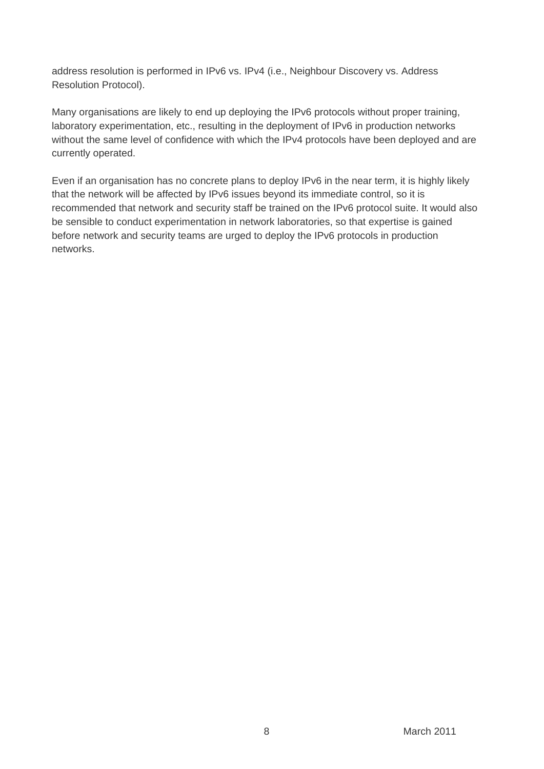address resolution is performed in IPv6 vs. IPv4 (i.e., Neighbour Discovery vs. Address Resolution Protocol).

Many organisations are likely to end up deploying the IPv6 protocols without proper training, laboratory experimentation, etc., resulting in the deployment of IPv6 in production networks without the same level of confidence with which the IPv4 protocols have been deployed and are currently operated.

Even if an organisation has no concrete plans to deploy IPv6 in the near term, it is highly likely that the network will be affected by IPv6 issues beyond its immediate control, so it is recommended that network and security staff be trained on the IPv6 protocol suite. It would also be sensible to conduct experimentation in network laboratories, so that expertise is gained before network and security teams are urged to deploy the IPv6 protocols in production networks.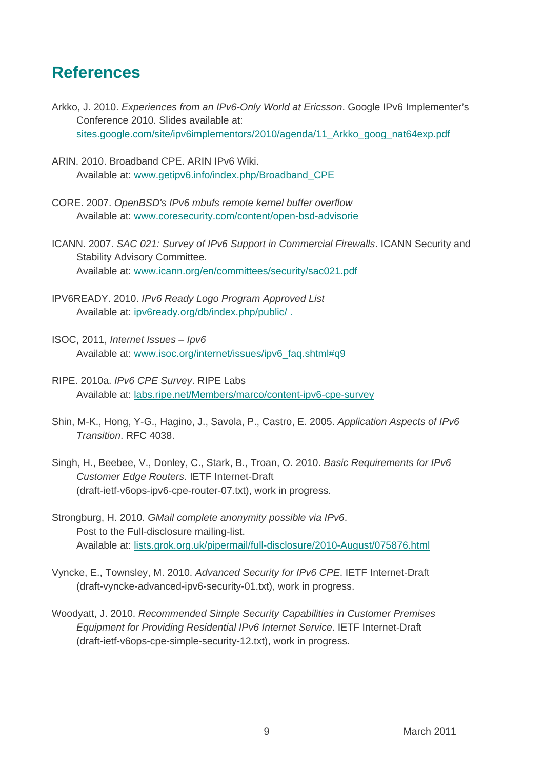#### **References**

- Arkko, J. 2010. *Experiences from an IPv6-Only World at Ericsson*. Google IPv6 Implementer's Conference 2010. Slides available at: [sites.google.com/site/ipv6implementors/2010/agenda/11\\_Arkko\\_goog\\_nat64exp.pdf](http://sites.google.com/site/ipv6implementors/2010/agenda/11_Arkko_goog_nat64exp.pdf?attredirects=0)
- ARIN. 2010. Broadband CPE. ARIN IPv6 Wiki. Available at: [www.getipv6.info/index.php/Broadband\\_CPE](http://www.getipv6.info/index.php/Broadband_CPE)
- CORE. 2007. *OpenBSD's IPv6 mbufs remote kernel buffer overflow* Available at: [www.coresecurity.com/content/open-bsd-advisorie](http://www.coresecurity.com/content/open-bsd-advisorie)
- ICANN. 2007. *SAC 021: Survey of IPv6 Support in Commercial Firewalls*. ICANN Security and Stability Advisory Committee. Available at: [www.icann.org/en/committees/security/sac021.pdf](http://www.icann.org/en/committees/security/sac021.pdf)
- IPV6READY. 2010. *IPv6 Ready Logo Program Approved List* Available at: [ipv6ready.org/db/index.php/public/](http://www.ipv6ready.org/db/index.php/public/) .
- ISOC, 2011, *Internet Issues Ipv6* Available at: [www.isoc.org/internet/issues/ipv6\\_faq.shtml#q9](http://www.isoc.org/internet/issues/ipv6_faq.shtml#q9)
- RIPE. 2010a. *IPv6 CPE Survey*. RIPE Labs Available at: [labs.ripe.net/Members/marco/content-ipv6-cpe-survey](http://labs.ripe.net/Members/marco/content-ipv6-cpe-survey)
- Shin, M-K., Hong, Y-G., Hagino, J., Savola, P., Castro, E. 2005. *Application Aspects of IPv6 Transition*. RFC 4038.
- Singh, H., Beebee, V., Donley, C., Stark, B., Troan, O. 2010. *Basic Requirements for IPv6 Customer Edge Routers*. IETF Internet-Draft (draft-ietf-v6ops-ipv6-cpe-router-07.txt), work in progress.
- Strongburg, H. 2010. *GMail complete anonymity possible via IPv6*. Post to the Full-disclosure mailing-list. Available at: [lists.grok.org.uk/pipermail/full-disclosure/2010-August/075876.html](http://lists.grok.org.uk/pipermail/full-disclosure/2010-August/075876.html)
- Vyncke, E., Townsley, M. 2010. *Advanced Security for IPv6 CPE*. IETF Internet-Draft (draft-vyncke-advanced-ipv6-security-01.txt), work in progress.
- Woodyatt, J. 2010. *Recommended Simple Security Capabilities in Customer Premises Equipment for Providing Residential IPv6 Internet Service*. IETF Internet-Draft (draft-ietf-v6ops-cpe-simple-security-12.txt), work in progress.